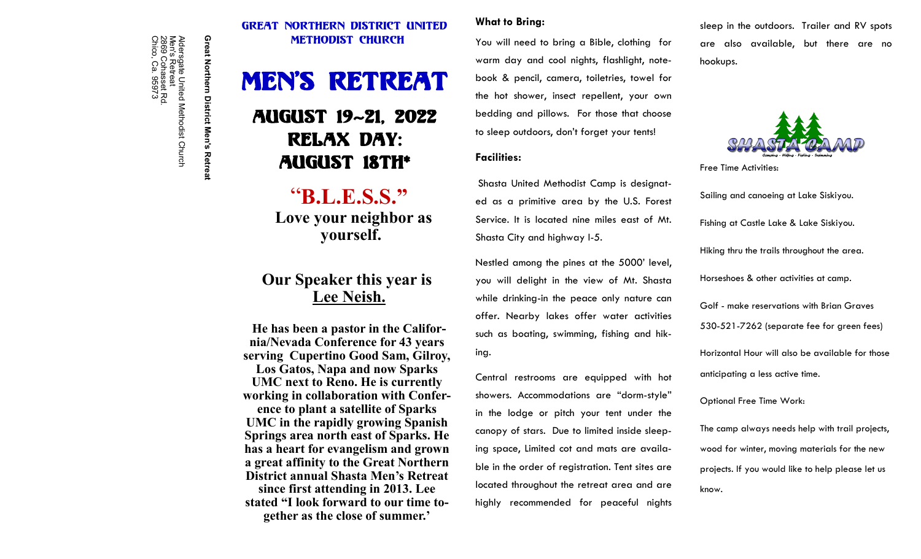#### Great Northern DISTRICT UNITED METHODIST Church

# MEN'S RETREAT

## AUGUST 19~21, 2022 Relax day: August 18th\*

## "**B.L.E.S.S." Love your neighbor as yourself.**

### **Our Speaker this year is Lee Neish.**

**He has been a pastor in the California/Nevada Conference for 43 years serving Cupertino Good Sam, Gilroy, Los Gatos, Napa and now Sparks UMC next to Reno. He is currently working in collaboration with Conference to plant a satellite of Sparks UMC in the rapidly growing Spanish Springs area north east of Sparks. He has a heart for evangelism and grown a great affinity to the Great Northern District annual Shasta Men's Retreat since first attending in 2013. Lee stated "I look forward to our time together as the close of summer.'**

#### **What to Bring:**

You will need to bring a Bible, clothing for warm day and cool nights, flashlight, notebook & pencil, camera, toiletries, towel for the hot shower, insect repellent, your own bedding and pillows. For those that choose to sleep outdoors, don't forget your tents!

#### **Facilities:**

Shasta United Methodist Camp is designated as a primitive area by the U.S. Forest Service. It is located nine miles east of Mt. Shasta City and highway I-5.

Nestled among the pines at the 5000' level, you will delight in the view of Mt. Shasta while drinking-in the peace only nature can offer. Nearby lakes offer water activities such as boating, swimming, fishing and hiking.

Central restrooms are equipped with hot showers. Accommodations are "dorm-style" in the lodge or pitch your tent under the canopy of stars. Due to limited inside sleeping space, Limited cot and mats are available in the order of registration. Tent sites are located throughout the retreat area and are highly recommended for peaceful nights sleep in the outdoors. Trailer and RV spots are also available, but there are no hookups.



Free Time Activities: Sailing and canoeing at Lake Siskiyou. Fishing at Castle Lake & Lake Siskiyou. Hiking thru the trails throughout the area. Horseshoes & other activities at camp. Golf - make reservations with Brian Graves 530-521-7262 (separate fee for green fees) Horizontal Hour will also be available for those anticipating a less active time.

Optional Free Time Work:

The camp always needs help with trail projects, wood for winter, moving materials for the new projects. If you would like to help please let us know.

Aldersgate United Methodist Church<br>Men's Retreat<br>2869 Cohasset Rd.<br>Chico, Ca. 95973 Great Northern District Men's Retreat

**Great Northern District Men's Retreat**

Chico, Ca. 95973